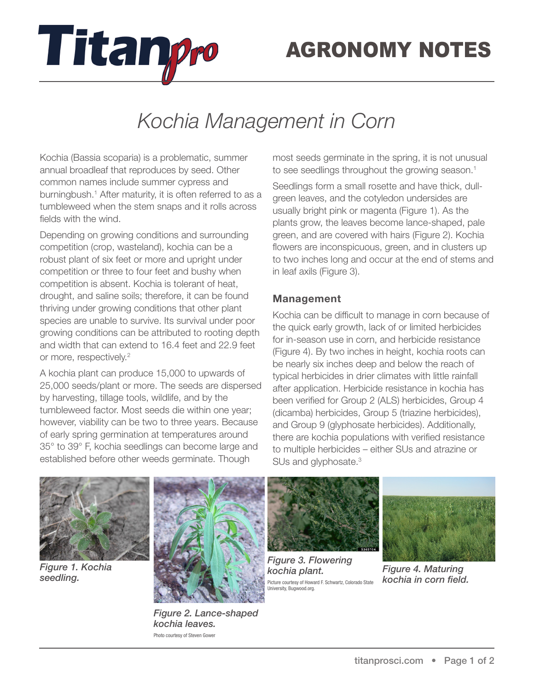

# *Kochia Management in Corn*

Kochia (Bassia scoparia) is a problematic, summer annual broadleaf that reproduces by seed. Other common names include summer cypress and burningbush.<sup>1</sup> After maturity, it is often referred to as a tumbleweed when the stem snaps and it rolls across fields with the wind.

Titanpro

Depending on growing conditions and surrounding competition (crop, wasteland), kochia can be a robust plant of six feet or more and upright under competition or three to four feet and bushy when competition is absent. Kochia is tolerant of heat, drought, and saline soils; therefore, it can be found thriving under growing conditions that other plant species are unable to survive. Its survival under poor growing conditions can be attributed to rooting depth and width that can extend to 16.4 feet and 22.9 feet or more, respectively.<sup>2</sup>

A kochia plant can produce 15,000 to upwards of 25,000 seeds/plant or more. The seeds are dispersed by harvesting, tillage tools, wildlife, and by the tumbleweed factor. Most seeds die within one year; however, viability can be two to three years. Because of early spring germination at temperatures around 35° to 39° F, kochia seedlings can become large and established before other weeds germinate. Though

most seeds germinate in the spring, it is not unusual to see seedlings throughout the growing season.<sup>1</sup>

Seedlings form a small rosette and have thick, dullgreen leaves, and the cotyledon undersides are usually bright pink or magenta (Figure 1). As the plants grow, the leaves become lance-shaped, pale green, and are covered with hairs (Figure 2). Kochia flowers are inconspicuous, green, and in clusters up to two inches long and occur at the end of stems and in leaf axils (Figure 3).

### **Management**

Kochia can be difficult to manage in corn because of the quick early growth, lack of or limited herbicides for in-season use in corn, and herbicide resistance (Figure 4). By two inches in height, kochia roots can be nearly six inches deep and below the reach of typical herbicides in drier climates with little rainfall after application. Herbicide resistance in kochia has been verified for Group 2 (ALS) herbicides, Group 4 (dicamba) herbicides, Group 5 (triazine herbicides), and Group 9 (glyphosate herbicides). Additionally, there are kochia populations with verified resistance to multiple herbicides – either SUs and atrazine or SUs and glyphosate.<sup>3</sup>



*Figure 1. Kochia seedling.* 



*Figure 2. Lance-shaped kochia leaves.*  Photo courtesy of Steven Gower



*Figure 3. Flowering kochia plant.*  Picture courtesy of Howard F. Schwartz, Colorado State University, Bugwood.org.



*Figure 4. Maturing kochia in corn field.*